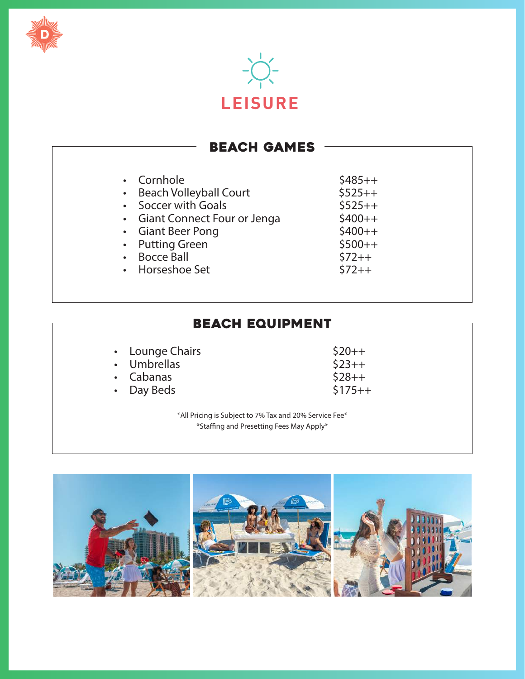



#### BEACH GAMES

| • Cornhole                    | $$485++$ |
|-------------------------------|----------|
| • Beach Volleyball Court      | $$525++$ |
| <b>Soccer with Goals</b>      | $$525++$ |
| • Giant Connect Four or Jenga | $$400++$ |
| • Giant Beer Pong             | $$400++$ |
| • Putting Green               | $$500++$ |
| • Bocce Ball                  | $$72++$  |
| • Horseshoe Set               | $$72++$  |
|                               |          |

#### BEACH EQUIPMENT

| • Lounge Chairs | $$20++$  |
|-----------------|----------|
| • Umbrellas     | $$23++$  |
| • Cabanas       | $$28++$  |
| • Day Beds      | $$175++$ |
|                 |          |

\*All Pricing is Subject to 7% Tax and 20% Service Fee\* \*Staffing and Presetting Fees May Apply\*

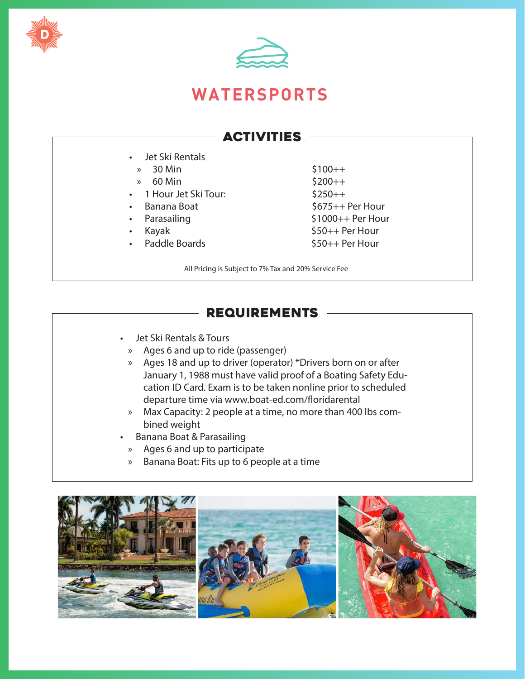



## **WATER SPORTS WATERSPORTS**

## **ACTIVITIES**

- Jet Ski Rentals
	- $\frac{1}{2}$  30 Min  $\frac{1}{2}$   $\frac{100+1}{2}$
- $\frac{1}{200}$  60 Min  $\frac{1}{200}$  8200++
- 1 Hour Jet Ski Tour:  $$250++$
- 
- 
- 
- 

• Banana Boat \$675++ Per Hour Parasailing **blue Source 1000++ Per Hour** • Kayak \$50++ Per Hour Paddle Boards **\$50++ Per Hour** 

All Pricing is Subject to 7% Tax and 20% Service Fee

#### REQUIREMENTS

- Jet Ski Rentals & Tours
	- » Ages 6 and up to ride (passenger)
	- » Ages 18 and up to driver (operator) \*Drivers born on or after January 1, 1988 must have valid proof of a Boating Safety Education ID Card. Exam is to be taken nonline prior to scheduled departure time via www.boat-ed.com/floridarental
	- » Max Capacity: 2 people at a time, no more than 400 lbs combined weight
- Banana Boat & Parasailing
	- » Ages 6 and up to participate
	- » Banana Boat: Fits up to 6 people at a time

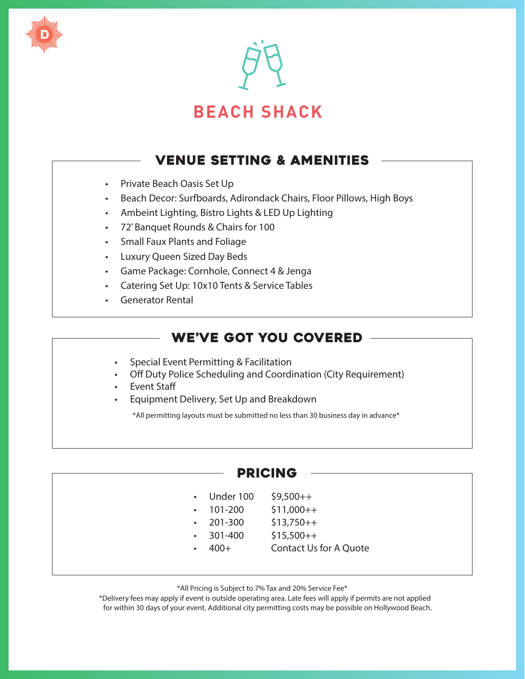



## VENUE SETTING & AMENITIES

- Private Beach Oasis Set Up
- Beach Decor: Surfboards, Adirondack Chairs, Floor Pillows, High Boys
- Ambeint Lighting, Bistro Lights & LED Up Lighting
- 72' Banquet Rounds & Chairs for 100
- Small Faux Plants and Foliage
- Luxury Queen Sized Day Beds
- Game Package: Cornhole, Connect 4 & Jenga
- Catering Set Up: 10x10 Tents & Service Tables
- Generator Rental

#### WE'VE GOT YOU COVERED

- Special Event Permitting & Facilitation
- Off Duty Police Scheduling and Coordination (City Requirement)
- **Event Staff**
- Equipment Delivery, Set Up and Breakdown

\*All permitting layouts must be submitted no less than 30 business day in advance\*

#### PRICING

- Under 100 \$9,500++
- 101-200 \$11,000++
- 201-300 \$13,750++
	- 301-400 \$15,500++
- 
- 400+ Contact Us for A Quote

\*All Pricing is Subject to 7% Tax and 20% Service Fee\*

\*Delivery fees may apply if event is outside operating area. Late fees will apply if permits are not applied for within 30 days of your event. Additional city permitting costs may be possible on Hollywood Beach.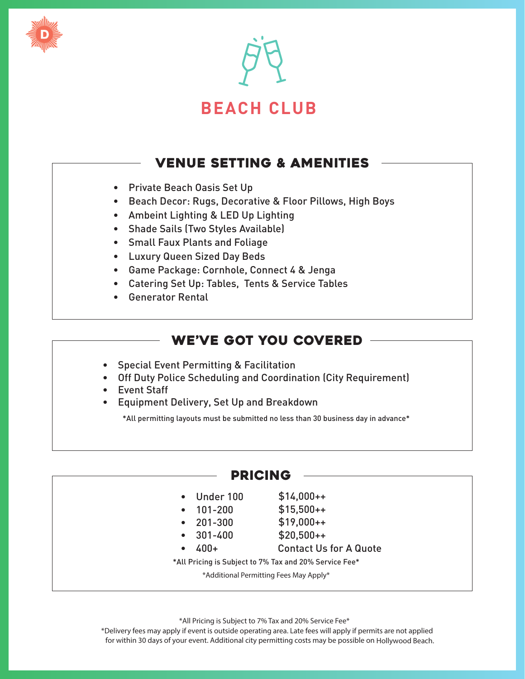



#### VENUE SETTING & AMENITIES

- Private Beach Oasis Set Up
- Beach Decor: Rugs, Decorative & Floor Pillows, High Boys
- Ambeint Lighting & LED Up Lighting
- Shade Sails (Two Styles Available)
- Small Faux Plants and Foliage
- Luxury Queen Sized Day Beds
- Game Package: Cornhole, Connect 4 & Jenga
- Catering Set Up: Tables, Tents & Service Tables
- Generator Rental

#### WE'VE GOT YOU COVERED

- Special Event Permitting & Facilitation
- Off Duty Police Scheduling and Coordination (City Requirement)
- Event Staff
- Equipment Delivery, Set Up and Breakdown

\*All permitting layouts must be submitted no less than 30 business day in advance\*

#### PRICING

- Under 100 \$14,000++
- 101-200 \$15,500++
- 201-300 \$19,000++
	- $\bullet$  301-400 \$20.500++
- 
- 400+ Contact Us for A Quote

\*All Pricing is Subject to 7% Tax and 20% Service Fee\*

\*Additional Permitting Fees May Apply\*

\*All Pricing is Subject to 7% Tax and 20% Service Fee\*

\*Delivery fees may apply if event is outside operating area. Late fees will apply if permits are not applied for within 30 days of your event. Additional city permitting costs may be possible on Hollywood Beach.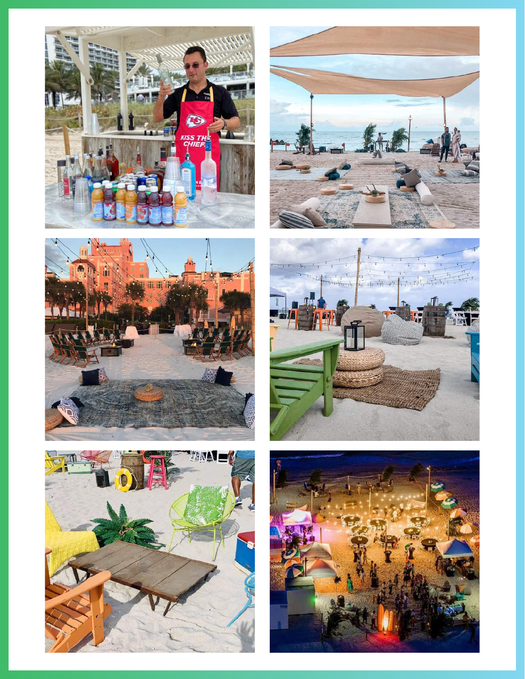









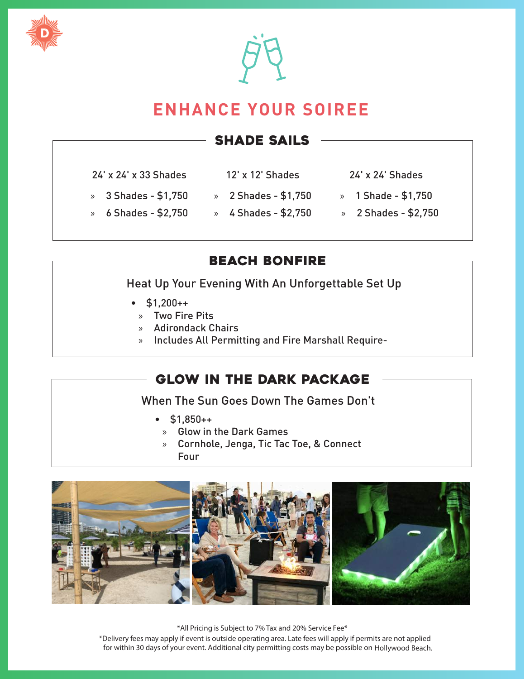



## **ENHANCE YOUR SOIREE ENHANCE YOUR SOIREE**

#### SHADE SAILS

| 24' x 24' x 33 Shades |
|-----------------------|
|-----------------------|

12' x 12' Shades

24' x 24' Shades

- » 3 Shades \$1,750 » 2 Shades \$1,750 » 1 Shade \$1,750
	-

## BEACH BONFIRE

Heat Up Your Evening With An Unforgettable Set Up

- $\cdot$  \$1,200++
	- » Two Fire Pits
	- » Adirondack Chairs
	- » Includes All Permitting and Fire Marshall Require-

#### GLOW IN THE DARK PACKAGE

When The Sun Goes Down The Games Don't

- $$1,850++$ 
	- » Glow in the Dark Games
	- » Cornhole, Jenga, Tic Tac Toe, & Connect Four



\*All Pricing is Subject to 7% Tax and 20% Service Fee\*

\*Delivery fees may apply if event is outside operating area. Late fees will apply if permits are not applied for within 30 days of your event. Additional city permitting costs may be possible on Hollywood Beach.

- 
- » 6 Shades \$2,750 » 4 Shades \$2,750 » 2 Shades \$2,750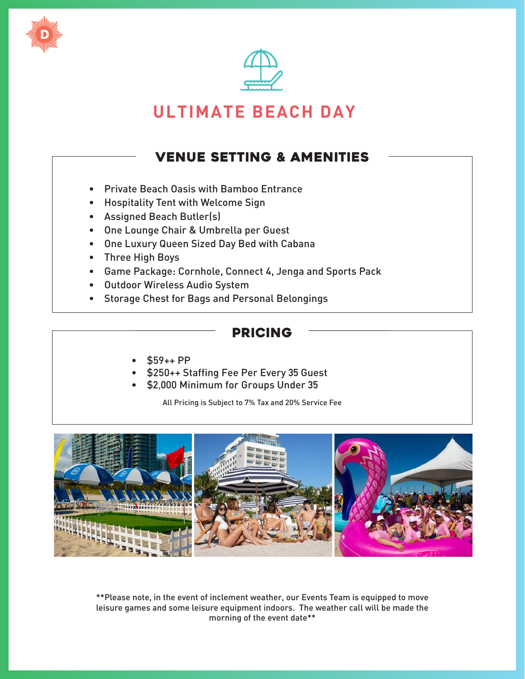



# **ULTIMATE BEACH DAY ULTIMATE BEACH DAY**

#### VENUE SETTING & AMENITIES

- Private Beach Oasis with Bamboo Entrance
- Hospitality Tent with Welcome Sign
- Assigned Beach Butler(s)
- One Lounge Chair & Umbrella per Guest
- One Luxury Queen Sized Day Bed with Cabana
- Three High Boys
- Game Package: Cornhole, Connect 4, Jenga and Sports Pack
- Outdoor Wireless Audio System
- Storage Chest for Bags and Personal Belongings

#### PRICING

- \$59++ PP
- **•** \$250++ Staffing Fee Per Every 35 Guest
- \$2,000 Minimum for Groups Under 35

All Pricing is Subject to 7% Tax and 20% Service Fee



\*\*Please note, in the event of inclement weather, our Events Team is equipped to move leisure games and some leisure equipment indoors. The weather call will be made the morning of the event date\*\*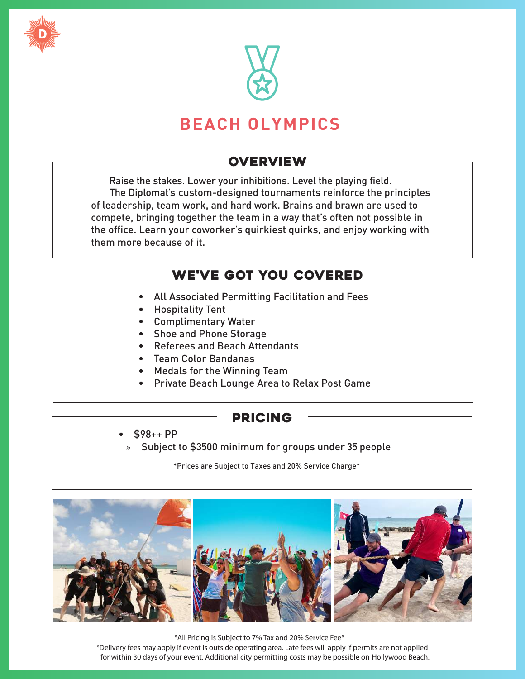



# **OVERVIEW**

Raise the stakes. Lower your inhibitions. Level the playing field. **Raise the stakes. Lower your inhibitions. Level the playing field. The Diplomat's custom-designed tournaments reinforce the principles** of leadership, team work, and hard work. Brains and brawn are used to compete, bringing together the team in a way that's often not possible in the office. Learn your coworker's quirkiest quirks, and enjoy working with them more because of it.

#### WE'VE GOT YOU COVERED

- All Associated Permitting Facilitation and Fees
- Hospitality Tent
- Complimentary Water
- Shoe and Phone Storage
- Referees and Beach Attendants
- Team Color Bandanas
- Medals for the Winning Team
- Private Beach Lounge Area to Relax Post Game

#### PRICING

- \$98++ PP
	- » Subject to \$3500 minimum for groups under 35 people

\*Prices are Subject to Taxes and 20% Service Charge\*



\*All Pricing is Subject to 7% Tax and 20% Service Fee\* \*Delivery fees may apply if event is outside operating area. Late fees will apply if permits are not applied for within 30 days of your event. Additional city permitting costs may be possible on Hollywood Beach.